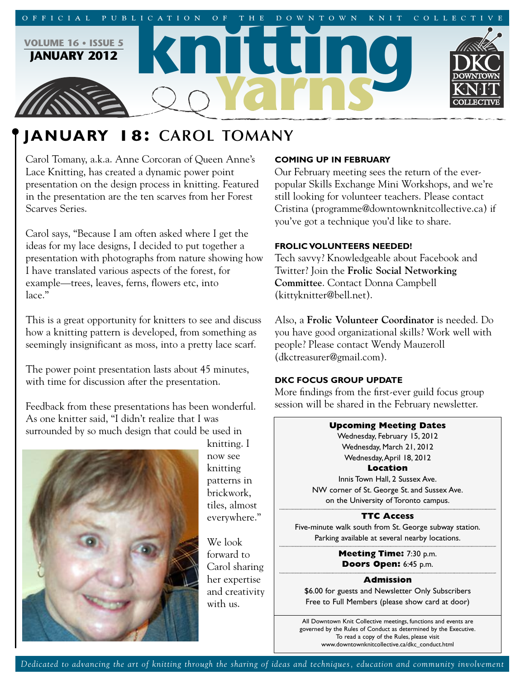

# **JANUARY 18: CAROL TOMANY**

Carol Tomany, a.k.a. Anne Corcoran of Queen Anne's Lace Knitting, has created a dynamic power point presentation on the design process in knitting. Featured in the presentation are the ten scarves from her Forest Scarves Series.

Carol says, "Because I am often asked where I get the ideas for my lace designs, I decided to put together a presentation with photographs from nature showing how I have translated various aspects of the forest, for example—trees, leaves, ferns, flowers etc, into lace."

This is a great opportunity for knitters to see and discuss how a knitting pattern is developed, from something as seemingly insignificant as moss, into a pretty lace scarf.

The power point presentation lasts about 45 minutes, with time for discussion after the presentation.

Feedback from these presentations has been wonderful. As one knitter said, "I didn't realize that I was surrounded by so much design that could be used in



knitting. I now see knitting patterns in brickwork, tiles, almost everywhere."

We look forward to Carol sharing her expertise and creativity with us.

# **COMING UP IN FEBRUARY**

Our February meeting sees the return of the everpopular Skills Exchange Mini Workshops, and we're still looking for volunteer teachers. Please contact Cristina (programme@downtownknitcollective.ca) if you've got a technique you'd like to share.

# **FROLIC VOLUNTEERS NEEDED!**

Tech savvy? Knowledgeable about Facebook and Twitter? Join the **Frolic Social Networking Committee**. Contact Donna Campbell (kittyknitter@bell.net).

Also, a **Frolic Volunteer Coordinator** is needed. Do you have good organizational skills? Work well with people? Please contact Wendy Mauzeroll (dkctreasurer@gmail.com).

# **DKC FOCUS GROUP UPDATE**

More findings from the first-ever guild focus group session will be shared in the February newsletter.



**Doors Open:** 6:45 p.m.

## **Admission**

\$6.00 for guests and Newsletter Only Subscribers Free to Full Members (please show card at door)

All Downtown Knit Collective meetings, functions and events are governed by the Rules of Conduct as determined by the Executive. To read a copy of the Rules, please visit www.downtownknitcollective.ca/dkc\_conduct.html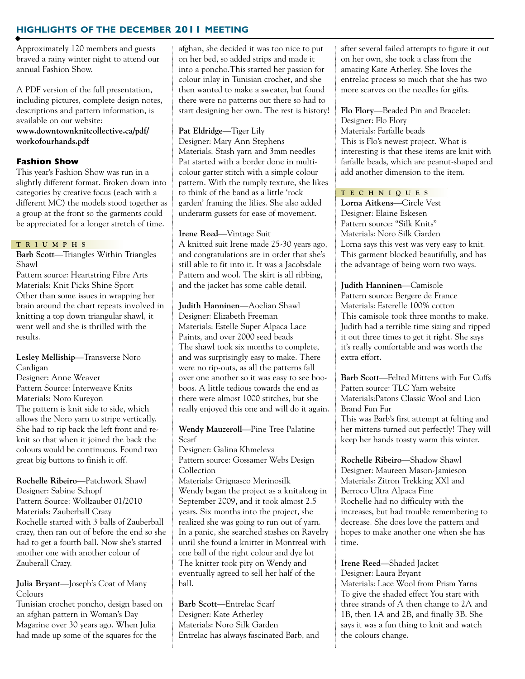# **HIGHLIGHTS OF THE DECEMBER 2011 MEETING**

Approximately 120 members and guests braved a rainy winter night to attend our annual Fashion Show.

A PDF version of the full presentation, including pictures, complete design notes, descriptions and pattern information, is available on our website: **www.downtownknitcollective.ca/pdf/ workofourhands.pdf**

## **Fashion Show**

This year's Fashion Show was run in a slightly different format. Broken down into categories by creative focus (each with a different MC) the models stood together as a group at the front so the garments could be appreciated for a longer stretch of time.

#### **T R I U M P H S**

**Barb Scott**—Triangles Within Triangles Shawl

Pattern source: Heartstring Fibre Arts Materials: Knit Picks Shine Sport Other than some issues in wrapping her brain around the chart repeats involved in knitting a top down triangular shawl, it went well and she is thrilled with the results.

#### **Lesley Melliship**—Transverse Noro Cardigan

Designer: Anne Weaver Pattern Source: Interweave Knits Materials: Noro Kureyon The pattern is knit side to side, which allows the Noro yarn to stripe vertically. She had to rip back the left front and reknit so that when it joined the back the colours would be continuous. Found two great big buttons to finish it off.

**Rochelle Ribeiro**—Patchwork Shawl Designer: Sabine Schopf Pattern Source: Wollzauber 01/2010 Materials: Zauberball Crazy Rochelle started with 3 balls of Zauberball crazy, then ran out of before the end so she had to get a fourth ball. Now she's started another one with another colour of Zauberall Crazy.

#### **Julia Bryant**—Joseph's Coat of Many Colours

Tunisian crochet poncho, design based on an afghan pattern in Woman's Day Magazine over 30 years ago. When Julia had made up some of the squares for the

afghan, she decided it was too nice to put on her bed, so added strips and made it into a poncho.This started her passion for colour inlay in Tunisian crochet, and she then wanted to make a sweater, but found there were no patterns out there so had to start designing her own. The rest is history!

#### **Pat Eldridge**—Tiger Lily

Designer: Mary Ann Stephens Materials: Stash yarn and 3mm needles Pat started with a border done in multicolour garter stitch with a simple colour pattern. With the rumply texture, she likes to think of the band as a little 'rock garden' framing the lilies. She also added underarm gussets for ease of movement.

#### **Irene Reed**—Vintage Suit

A knitted suit Irene made 25-30 years ago, and congratulations are in order that she's still able to fit into it. It was a Jacobsdale Pattern and wool. The skirt is all ribbing, and the jacket has some cable detail.

**Judith Hanninen**—Aoelian Shawl Designer: Elizabeth Freeman Materials: Estelle Super Alpaca Lace Paints, and over 2000 seed beads The shawl took six months to complete, and was surprisingly easy to make. There were no rip-outs, as all the patterns fall over one another so it was easy to see booboos. A little tedious towards the end as there were almost 1000 stitches, but she really enjoyed this one and will do it again.

#### **Wendy Mauzeroll**—Pine Tree Palatine Scarf

Designer: Galina Khmeleva Pattern source: Gossamer Webs Design Collection Materials: Grignasco Merinosilk Wendy began the project as a knitalong in September 2009, and it took almost 2.5 years. Six months into the project, she realized she was going to run out of yarn. In a panic, she searched stashes on Ravelry until she found a knitter in Montreal with one ball of the right colour and dye lot The knitter took pity on Wendy and eventually agreed to sell her half of the ball.

**Barb Scott**—Entrelac Scarf Designer: Kate Atherley Materials: Noro Silk Garden Entrelac has always fascinated Barb, and after several failed attempts to figure it out on her own, she took a class from the amazing Kate Atherley. She loves the entrelac process so much that she has two more scarves on the needles for gifts.

**Flo Flory**—Beaded Pin and Bracelet: Designer: Flo Flory Materials: Farfalle beads This is Flo's newest project. What is interesting is that these items are knit with farfalle beads, which are peanut-shaped and add another dimension to the item.

#### **T E C H N I Q U E S**

**Lorna Aitkens**—Circle Vest Designer: Elaine Eskesen Pattern source: "Silk Knits" Materials: Noro Silk Garden Lorna says this vest was very easy to knit. This garment blocked beautifully, and has the advantage of being worn two ways.

**Judith Hanninen**—Camisole Pattern source: Bergere de France Materials: Esterelle 100% cotton This camisole took three months to make. Judith had a terrible time sizing and ripped it out three times to get it right. She says it's really comfortable and was worth the extra effort.

**Barb Scott**—Felted Mittens with Fur Cuffs Patten source: TLC Yarn website Materials:Patons Classic Wool and Lion Brand Fun Fur

This was Barb's first attempt at felting and her mittens turned out perfectly! They will keep her hands toasty warm this winter.

**Rochelle Ribeiro**—Shadow Shawl Designer: Maureen Mason-Jamieson Materials: Zitron Trekking XXl and Berroco Ultra Alpaca Fine Rochelle had no difficulty with the increases, but had trouble remembering to decrease. She does love the pattern and hopes to make another one when she has time.

**Irene Reed**—Shaded Jacket Designer: Laura Bryant

Materials: Lace Wool from Prism Yarns To give the shaded effect You start with three strands of A then change to 2A and 1B, then 1A and 2B, and finally 3B. She says it was a fun thing to knit and watch the colours change.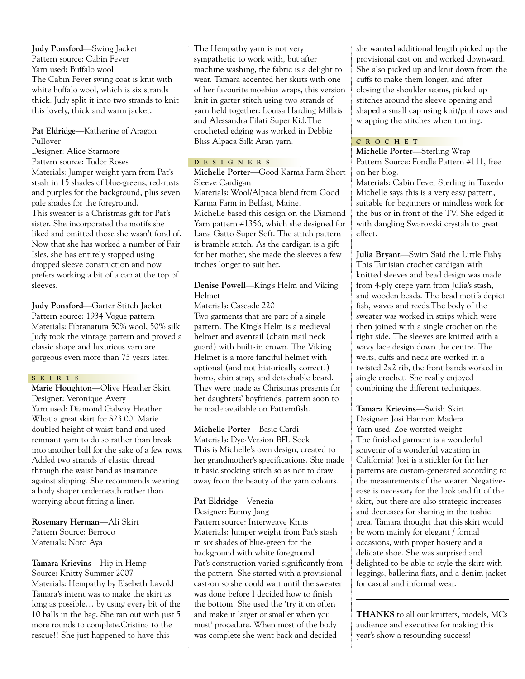**Judy Ponsford**—Swing Jacket Pattern source: Cabin Fever Yarn used: Buffalo wool The Cabin Fever swing coat is knit with white buffalo wool, which is six strands thick. Judy split it into two strands to knit this lovely, thick and warm jacket.

## **Pat Eldridge**—Katherine of Aragon Pullover

Designer: Alice Starmore Pattern source: Tudor Roses Materials: Jumper weight yarn from Pat's stash in 15 shades of blue-greens, red-rusts and purples for the background, plus seven pale shades for the foreground. This sweater is a Christmas gift for Pat's sister. She incorporated the motifs she liked and omitted those she wasn't fond of. Now that she has worked a number of Fair Isles, she has entirely stopped using dropped sleeve construction and now prefers working a bit of a cap at the top of sleeves.

**Judy Ponsford**—Garter Stitch Jacket Pattern source: 1934 Vogue pattern Materials: Fibranatura 50% wool, 50% silk Judy took the vintage pattern and proved a classic shape and luxurious yarn are gorgeous even more than 75 years later.

## **S K I R T S**

**Marie Houghton**—Olive Heather Skirt Designer: Veronique Avery Yarn used: Diamond Galway Heather What a great skirt for \$23.00! Marie doubled height of waist band and used remnant yarn to do so rather than break into another ball for the sake of a few rows. Added two strands of elastic thread through the waist band as insurance against slipping. She recommends wearing a body shaper underneath rather than worrying about fitting a liner.

**Rosemary Herman**—Ali Skirt Pattern Source: Berroco Materials: Noro Aya

**Tamara Krievins**—Hip in Hemp Source: Knitty Summer 2007 Materials: Hempathy by Elsebeth Lavold Tamara's intent was to make the skirt as long as possible… by using every bit of the 10 balls in the bag. She ran out with just 5 more rounds to complete.Cristina to the rescue!! She just happened to have this

The Hempathy yarn is not very sympathetic to work with, but after machine washing, the fabric is a delight to wear. Tamara accented her skirts with one of her favourite moebius wraps, this version knit in garter stitch using two strands of yarn held together: Louisa Harding Millais and Alessandra Filati Super Kid.The crocheted edging was worked in Debbie Bliss Alpaca Silk Aran yarn.

# **D E S I G N E R S**

**Michelle Porter**—Good Karma Farm Short Sleeve Cardigan Materials: Wool/Alpaca blend from Good Karma Farm in Belfast, Maine. Michelle based this design on the Diamond Yarn pattern #1356, which she designed for Lana Gatto Super Soft. The stitch pattern is bramble stitch. As the cardigan is a gift for her mother, she made the sleeves a few inches longer to suit her.

# **Denise Powell**—King's Helm and Viking Helmet

Materials: Cascade 220

Two garments that are part of a single pattern. The King's Helm is a medieval helmet and aventail (chain mail neck guard) with built-in crown. The Viking Helmet is a more fanciful helmet with optional (and not historically correct!) horns, chin strap, and detachable beard. They were made as Christmas presents for her daughters' boyfriends, pattern soon to be made available on Patternfish.

**Michelle Porter**—Basic Cardi Materials: Dye-Version BFL Sock This is Michelle's own design, created to her grandmother's specifications. She made it basic stocking stitch so as not to draw away from the beauty of the yarn colours.

# **Pat Eldridge**—Venezia

Designer: Eunny Jang Pattern source: Interweave Knits Materials: Jumper weight from Pat's stash in six shades of blue-green for the background with white foreground Pat's construction varied significantly from the pattern. She started with a provisional cast-on so she could wait until the sweater was done before I decided how to finish the bottom. She used the 'try it on often and make it larger or smaller when you must' procedure. When most of the body was complete she went back and decided

she wanted additional length picked up the provisional cast on and worked downward. She also picked up and knit down from the cuffs to make them longer, and after closing the shoulder seams, picked up stitches around the sleeve opening and shaped a small cap using knit/purl rows and wrapping the stitches when turning.

# **C R O C H E T**

**Michelle Porter**—Sterling Wrap Pattern Source: Fondle Pattern #111, free on her blog.

Materials: Cabin Fever Sterling in Tuxedo Michelle says this is a very easy pattern, suitable for beginners or mindless work for the bus or in front of the TV. She edged it with dangling Swarovski crystals to great effect.

**Julia Bryant**—Swim Said the Little Fishy This Tunisian crochet cardigan with knitted sleeves and bead design was made from 4-ply crepe yarn from Julia's stash, and wooden beads. The bead motifs depict fish, waves and reeds.The body of the sweater was worked in strips which were then joined with a single crochet on the right side. The sleeves are knitted with a wavy lace design down the centre. The welts, cuffs and neck are worked in a twisted 2x2 rib, the front bands worked in single crochet. She really enjoyed combining the different techniques.

**Tamara Krievins**—Swish Skirt Designer: Josi Hannon Madera Yarn used: Zoe worsted weight The finished garment is a wonderful souvenir of a wonderful vacation in California! Josi is a stickler for fit: her patterns are custom-generated according to the measurements of the wearer. Negativeease is necessary for the look and fit of the skirt, but there are also strategic increases and decreases for shaping in the tushie area. Tamara thought that this skirt would be worn mainly for elegant / formal occasions, with proper hosiery and a delicate shoe. She was surprised and delighted to be able to style the skirt with leggings, ballerina flats, and a denim jacket for casual and informal wear.

**THANKS** to all our knitters, models, MCs audience and executive for making this year's show a resounding success!